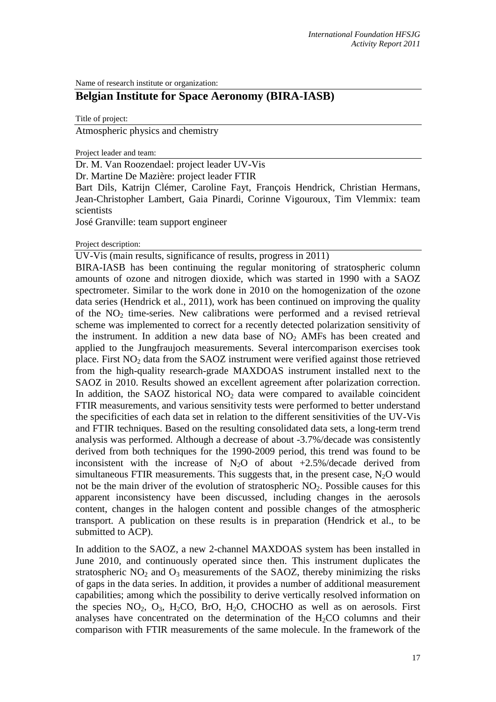Name of research institute or organization:

# **Belgian Institute for Space Aeronomy (BIRA-IASB)**

Title of project:

Atmospheric physics and chemistry

Project leader and team:

Dr. M. Van Roozendael: project leader UV-Vis

Dr. Martine De Mazière: project leader FTIR

Bart Dils, Katrijn Clémer, Caroline Fayt, François Hendrick, Christian Hermans, Jean-Christopher Lambert, Gaia Pinardi, Corinne Vigouroux, Tim Vlemmix: team scientists

José Granville: team support engineer

Project description:

UV-Vis (main results, significance of results, progress in 2011)

BIRA-IASB has been continuing the regular monitoring of stratospheric column amounts of ozone and nitrogen dioxide, which was started in 1990 with a SAOZ spectrometer. Similar to the work done in 2010 on the homogenization of the ozone data series (Hendrick et al., 2011), work has been continued on improving the quality of the  $NO<sub>2</sub>$  time-series. New calibrations were performed and a revised retrieval scheme was implemented to correct for a recently detected polarization sensitivity of the instrument. In addition a new data base of  $NO<sub>2</sub>$  AMFs has been created and applied to the Jungfraujoch measurements. Several intercomparison exercises took place. First  $NO<sub>2</sub>$  data from the SAOZ instrument were verified against those retrieved from the high-quality research-grade MAXDOAS instrument installed next to the SAOZ in 2010. Results showed an excellent agreement after polarization correction. In addition, the SAOZ historical  $NO<sub>2</sub>$  data were compared to available coincident FTIR measurements, and various sensitivity tests were performed to better understand the specificities of each data set in relation to the different sensitivities of the UV-Vis and FTIR techniques. Based on the resulting consolidated data sets, a long-term trend analysis was performed. Although a decrease of about -3.7%/decade was consistently derived from both techniques for the 1990-2009 period, this trend was found to be inconsistent with the increase of  $N_2O$  of about  $+2.5\%$ /decade derived from simultaneous FTIR measurements. This suggests that, in the present case,  $N_2O$  would not be the main driver of the evolution of stratospheric  $NO<sub>2</sub>$ . Possible causes for this apparent inconsistency have been discussed, including changes in the aerosols content, changes in the halogen content and possible changes of the atmospheric transport. A publication on these results is in preparation (Hendrick et al., to be submitted to ACP).

In addition to the SAOZ, a new 2-channel MAXDOAS system has been installed in June 2010, and continuously operated since then. This instrument duplicates the stratospheric  $NO<sub>2</sub>$  and  $O<sub>3</sub>$  measurements of the SAOZ, thereby minimizing the risks of gaps in the data series. In addition, it provides a number of additional measurement capabilities; among which the possibility to derive vertically resolved information on the species  $NO_2$ ,  $O_3$ ,  $H_2CO$ ,  $BrO$ ,  $H_2O$ , CHOCHO as well as on aerosols. First analyses have concentrated on the determination of the  $H<sub>2</sub>CO$  columns and their comparison with FTIR measurements of the same molecule. In the framework of the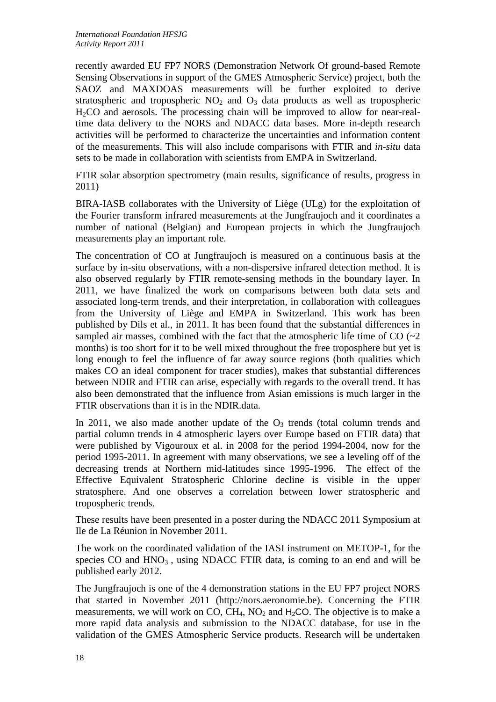recently awarded EU FP7 NORS (Demonstration Network Of ground-based Remote Sensing Observations in support of the GMES Atmospheric Service) project, both the SAOZ and MAXDOAS measurements will be further exploited to derive stratospheric and tropospheric  $NO<sub>2</sub>$  and  $O<sub>3</sub>$  data products as well as tropospheric H2CO and aerosols. The processing chain will be improved to allow for near-realtime data delivery to the NORS and NDACC data bases. More in-depth research activities will be performed to characterize the uncertainties and information content of the measurements. This will also include comparisons with FTIR and *in-situ* data sets to be made in collaboration with scientists from EMPA in Switzerland.

FTIR solar absorption spectrometry (main results, significance of results, progress in 2011)

BIRA-IASB collaborates with the University of Liège (ULg) for the exploitation of the Fourier transform infrared measurements at the Jungfraujoch and it coordinates a number of national (Belgian) and European projects in which the Jungfraujoch measurements play an important role.

The concentration of CO at Jungfraujoch is measured on a continuous basis at the surface by in-situ observations, with a non-dispersive infrared detection method. It is also observed regularly by FTIR remote-sensing methods in the boundary layer. In 2011, we have finalized the work on comparisons between both data sets and associated long-term trends, and their interpretation, in collaboration with colleagues from the University of Liège and EMPA in Switzerland. This work has been published by Dils et al., in 2011. It has been found that the substantial differences in sampled air masses, combined with the fact that the atmospheric life time of  $CO$  ( $\sim$ 2) months) is too short for it to be well mixed throughout the free troposphere but yet is long enough to feel the influence of far away source regions (both qualities which makes CO an ideal component for tracer studies), makes that substantial differences between NDIR and FTIR can arise, especially with regards to the overall trend. It has also been demonstrated that the influence from Asian emissions is much larger in the FTIR observations than it is in the NDIR.data.

In 2011, we also made another update of the  $O_3$  trends (total column trends and partial column trends in 4 atmospheric layers over Europe based on FTIR data) that were published by Vigouroux et al. in 2008 for the period 1994-2004, now for the period 1995-2011. In agreement with many observations, we see a leveling off of the decreasing trends at Northern mid-latitudes since 1995-1996. The effect of the Effective Equivalent Stratospheric Chlorine decline is visible in the upper stratosphere. And one observes a correlation between lower stratospheric and tropospheric trends.

These results have been presented in a poster during the NDACC 2011 Symposium at Ile de La Réunion in November 2011.

The work on the coordinated validation of the IASI instrument on METOP-1, for the species  $CO$  and  $HNO<sub>3</sub>$ , using NDACC FTIR data, is coming to an end and will be published early 2012.

The Jungfraujoch is one of the 4 demonstration stations in the EU FP7 project NORS that started in November 2011 (http://nors.aeronomie.be). Concerning the FTIR measurements, we will work on CO,  $CH_4$ ,  $NO_2$  and  $H_2CO$ . The objective is to make a more rapid data analysis and submission to the NDACC database, for use in the validation of the GMES Atmospheric Service products. Research will be undertaken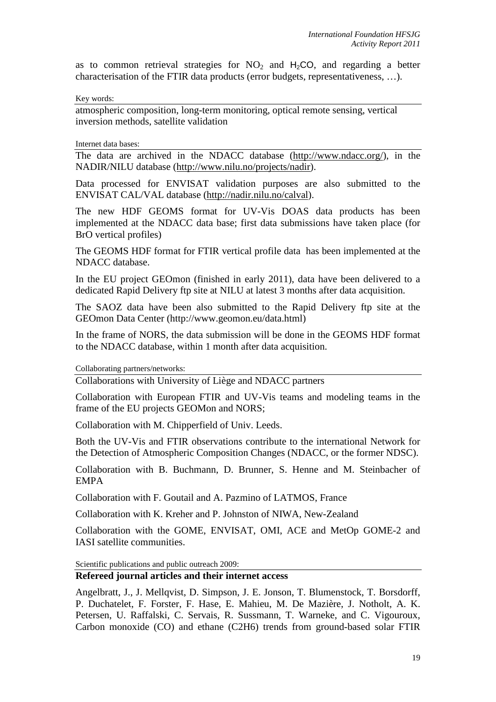as to common retrieval strategies for  $NO<sub>2</sub>$  and  $H<sub>2</sub>CO$ , and regarding a better characterisation of the FTIR data products (error budgets, representativeness, …).

Key words:

atmospheric composition, long-term monitoring, optical remote sensing, vertical inversion methods, satellite validation

Internet data bases:

The data are archived in the NDACC database [\(http://www.ndacc.org/\)](http://www.ndsc.ncep.noaa.gov/), in the NADIR/NILU database [\(http://www.nilu.no/projects/nadir\)](http://www.nilu.no/projects/nadir).

Data processed for ENVISAT validation purposes are also submitted to the ENVISAT CAL/VAL database [\(http://nadir.nilu.no/calval\)](http://nadir.nilu.no/calval).

The new HDF GEOMS format for UV-Vis DOAS data products has been implemented at the NDACC data base; first data submissions have taken place (for BrO vertical profiles)

The GEOMS HDF format for FTIR vertical profile data has been implemented at the NDACC database.

In the EU project GEOmon (finished in early 2011), data have been delivered to a dedicated Rapid Delivery ftp site at NILU at latest 3 months after data acquisition.

The SAOZ data have been also submitted to the Rapid Delivery ftp site at the GEOmon Data Center (http://www.geomon.eu/data.html)

In the frame of NORS, the data submission will be done in the GEOMS HDF format to the NDACC database, within 1 month after data acquisition.

Collaborating partners/networks:

Collaborations with University of Liège and NDACC partners

Collaboration with European FTIR and UV-Vis teams and modeling teams in the frame of the EU projects GEOMon and NORS;

Collaboration with M. Chipperfield of Univ. Leeds.

Both the UV-Vis and FTIR observations contribute to the international Network for the Detection of Atmospheric Composition Changes (NDACC, or the former NDSC).

Collaboration with B. Buchmann, D. Brunner, S. Henne and M. Steinbacher of EMPA

Collaboration with F. Goutail and A. Pazmino of LATMOS, France

Collaboration with K. Kreher and P. Johnston of NIWA, New-Zealand

Collaboration with the GOME, ENVISAT, OMI, ACE and MetOp GOME-2 and IASI satellite communities.

Scientific publications and public outreach 2009:

## **Refereed journal articles and their internet access**

Angelbratt, J., J. Mellqvist, D. Simpson, J. E. Jonson, T. Blumenstock, T. Borsdorff, P. Duchatelet, F. Forster, F. Hase, E. Mahieu, M. De Mazière, J. Notholt, A. K. Petersen, U. Raffalski, C. Servais, R. Sussmann, T. Warneke, and C. Vigouroux, Carbon monoxide (CO) and ethane (C2H6) trends from ground-based solar FTIR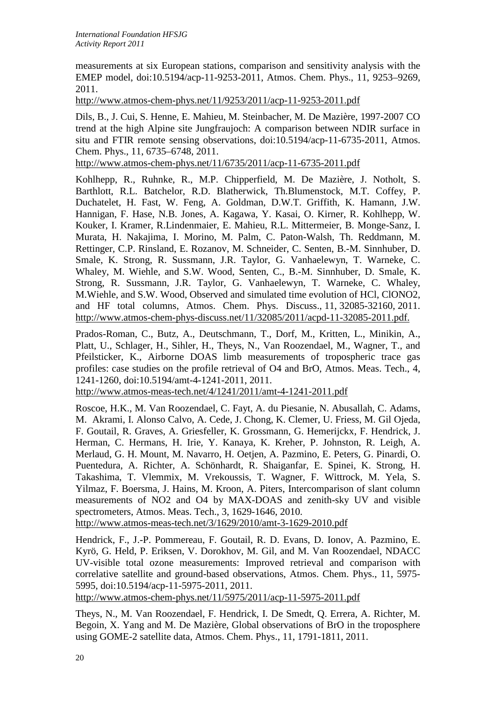measurements at six European stations, comparison and sensitivity analysis with the EMEP model, doi:10.5194/acp-11-9253-2011, Atmos. Chem. Phys., 11, 9253–9269, 2011.

<http://www.atmos-chem-phys.net/11/9253/2011/acp-11-9253-2011.pdf>

Dils, B., J. Cui, S. Henne, E. Mahieu, M. Steinbacher, M. De Mazière, 1997-2007 CO trend at the high Alpine site Jungfraujoch: A comparison between NDIR surface in situ and FTIR remote sensing observations, doi:10.5194/acp-11-6735-2011, Atmos. Chem. Phys., 11, 6735–6748, 2011.

<http://www.atmos-chem-phys.net/11/6735/2011/acp-11-6735-2011.pdf>

Kohlhepp, R., Ruhnke, R., M.P. Chipperfield, M. De Mazière, J. Notholt, S. Barthlott, R.L. Batchelor, R.D. Blatherwick, Th.Blumenstock, M.T. Coffey, P. Duchatelet, H. Fast, W. Feng, A. Goldman, D.W.T. Griffith, K. Hamann, J.W. Hannigan, F. Hase, N.B. Jones, A. Kagawa, Y. Kasai, O. Kirner, R. Kohlhepp, W. Kouker, I. Kramer, R.Lindenmaier, E. Mahieu, R.L. Mittermeier, B. Monge-Sanz, I. Murata, H. Nakajima, I. Morino, M. Palm, C. Paton-Walsh, Th. Reddmann, M. Rettinger, C.P. Rinsland, E. Rozanov, M. Schneider, C. Senten, B.-M. Sinnhuber, D. Smale, K. Strong, R. Sussmann, J.R. Taylor, G. Vanhaelewyn, T. Warneke, C. Whaley, M. Wiehle, and S.W. Wood, Senten, C., B.-M. Sinnhuber, D. Smale, K. Strong, R. Sussmann, J.R. Taylor, G. Vanhaelewyn, T. Warneke, C. Whaley, M.Wiehle, and S.W. Wood, Observed and simulated time evolution of HCl, ClONO2, and HF total columns, Atmos. Chem. Phys. Discuss., 11, 32085-32160, 2011. <http://www.atmos-chem-phys-discuss.net/11/32085/2011/acpd-11-32085-2011.pdf.>

Prados-Roman, C., Butz, A., Deutschmann, T., Dorf, M., Kritten, L., Minikin, A., Platt, U., Schlager, H., Sihler, H., Theys, N., Van Roozendael, M., Wagner, T., and Pfeilsticker, K., Airborne DOAS limb measurements of tropospheric trace gas profiles: case studies on the profile retrieval of O4 and BrO, Atmos. Meas. Tech., 4, 1241-1260, doi:10.5194/amt-4-1241-2011, 2011.

<http://www.atmos-meas-tech.net/4/1241/2011/amt-4-1241-2011.pdf>

Roscoe, H.K., M. Van Roozendael, C. Fayt, A. du Piesanie, N. Abusallah, C. Adams, M. Akrami, I. Alonso Calvo, A. Cede, J. Chong, K. Clemer, U. Friess, M. Gil Ojeda, F. Goutail, R. Graves, A. Griesfeller, K. Grossmann, G. Hemerijckx, F. Hendrick, J. Herman, C. Hermans, H. Irie, Y. Kanaya, K. Kreher, P. Johnston, R. Leigh, A. Merlaud, G. H. Mount, M. Navarro, H. Oetjen, A. Pazmino, E. Peters, G. Pinardi, O. Puentedura, A. Richter, A. Schönhardt, R. Shaiganfar, E. Spinei, K. Strong, H. Takashima, T. Vlemmix, M. Vrekoussis, T. Wagner, F. Wittrock, M. Yela, S. Yilmaz, F. Boersma, J. Hains, M. Kroon, A. Piters, Intercomparison of slant column measurements of NO2 and O4 by MAX-DOAS and zenith-sky UV and visible spectrometers, Atmos. Meas. Tech., 3, 1629-1646, 2010.

<http://www.atmos-meas-tech.net/3/1629/2010/amt-3-1629-2010.pdf>

Hendrick, F., J.-P. Pommereau, F. Goutail, R. D. Evans, D. Ionov, A. Pazmino, E. Kyrö, G. Held, P. Eriksen, V. Dorokhov, M. Gil, and M. Van Roozendael, NDACC UV-visible total ozone measurements: Improved retrieval and comparison with correlative satellite and ground-based observations, Atmos. Chem. Phys., 11, 5975- 5995, doi:10.5194/acp-11-5975-2011, 2011.

<http://www.atmos-chem-phys.net/11/5975/2011/acp-11-5975-2011.pdf>

Theys, N., M. Van Roozendael, F. Hendrick, I. De Smedt, Q. Errera, A. Richter, M. Begoin, X. Yang and M. De Mazière, Global observations of BrO in the troposphere using GOME-2 satellite data, Atmos. Chem. Phys., 11, 1791-1811, 2011.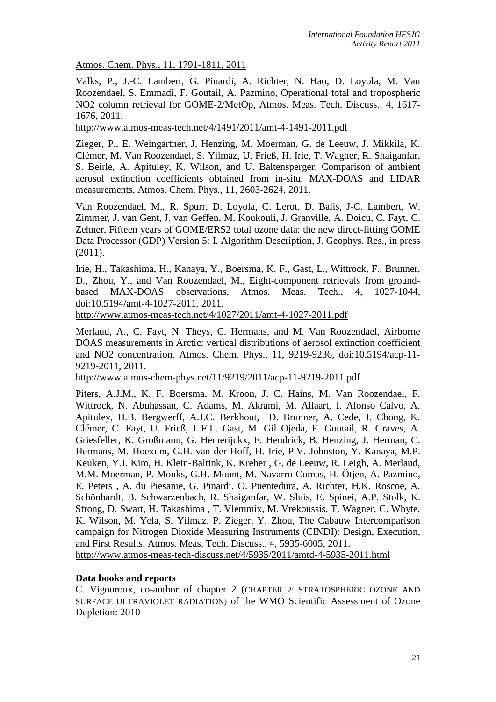Atmos. Chem. Phys., 11, 1791-1811, 2011

Valks, P., J.-C. Lambert, G. Pinardi, A. Richter, N. Hao, D. Loyola, M. Van Roozendael, S. Emmadi, F. Goutail, A. Pazmino, Operational total and tropospheric NO2 column retrieval for GOME-2/MetOp, Atmos. Meas. Tech. Discuss., 4, 1617- 1676, 2011.

<http://www.atmos-meas-tech.net/4/1491/2011/amt-4-1491-2011.pdf>

Zieger, P., E. Weingartner, J. Henzing, M. Moerman, G. de Leeuw, J. Mikkila, K. Clémer, M. Van Roozendael, S. Yilmaz, U. Frieß, H. Irie, T. Wagner, R. Shaiganfar, S. Beirle, A. Apituley, K. Wilson, and U. Baltensperger, Comparison of ambient aerosol extinction coefficients obtained from in-situ, MAX-DOAS and LIDAR measurements, Atmos. Chem. Phys., 11, 2603-2624, 2011.

Van Roozendael, M., R. Spurr, D. Loyola, C. Lerot, D. Balis, J-C. Lambert, W. Zimmer, J. van Gent, J. van Geffen, M. Koukouli, J. Granville, A. Doicu, C. Fayt, C. Zehner, Fifteen years of GOME/ERS2 total ozone data: the new direct-fitting GOME Data Processor (GDP) Version 5: I. Algorithm Description, J. Geophys. Res., in press (2011).

Irie, H., Takashima, H., Kanaya, Y., Boersma, K. F., Gast, L., Wittrock, F., Brunner, D., Zhou, Y., and Van Roozendael, M., Eight-component retrievals from groundbased MAX-DOAS observations, Atmos. Meas. Tech., 4, 1027-1044, doi:10.5194/amt-4-1027-2011, 2011.

<http://www.atmos-meas-tech.net/4/1027/2011/amt-4-1027-2011.pdf>

Merlaud, A., C. Fayt, N. Theys, C. Hermans, and M. Van Roozendael, Airborne DOAS measurements in Arctic: vertical distributions of aerosol extinction coefficient and NO2 concentration, Atmos. Chem. Phys., 11, 9219-9236, doi:10.5194/acp-11- 9219-2011, 2011.

<http://www.atmos-chem-phys.net/11/9219/2011/acp-11-9219-2011.pdf>

Piters, A.J.M., K. F. Boersma, M. Kroon, J. C. Hains, M. Van Roozendael, F. Wittrock, N. Abuhassan, C. Adams, M. Akrami, M. Allaart, I. Alonso Calvo, A. Apituley, H.B. Bergwerff, A.J.C. Berkhout, D. Brunner, A. Cede, J. Chong, K. Clémer, C. Fayt, U. Frieß, L.F.L. Gast, M. Gil Ojeda, F. Goutail, R. Graves, A. Griesfeller, K. Großmann, G. Hemerijckx, F. Hendrick, B. Henzing, J. Herman, C. Hermans, M. Hoexum, G.H. van der Hoff, H. Irie, P.V. Johnston, Y. Kanaya, M.P. Keuken, Y.J. Kim, H. Klein-Baltink, K. Kreher , G. de Leeuw, R. Leigh, A. Merlaud, M.M. Moerman, P. Monks, G.H. Mount, M. Navarro-Comas, H. Ötjen, A. Pazmino, E. Peters , A. du Piesanie, G. Pinardi, O. Puentedura, A. Richter, H.K. Roscoe, A. Schönhardt, B. Schwarzenbach, R. Shaiganfar, W. Sluis, E. Spinei, A.P. Stolk, K. Strong, D. Swart, H. Takashima , T. Vlemmix, M. Vrekoussis, T. Wagner, C. Whyte, K. Wilson, M. Yela, S. Yilmaz, P. Zieger, Y. Zhou, The Cabauw Intercomparison campaign for Nitrogen Dioxide Measuring Instruments (CINDI): Design, Execution, and First Results, Atmos. Meas. Tech. Discuss., 4, 5935-6005, 2011. <http://www.atmos-meas-tech-discuss.net/4/5935/2011/amtd-4-5935-2011.html>

# **Data books and reports**

C. Vigouroux, co-author of chapter 2 (CHAPTER 2: STRATOSPHERIC OZONE AND SURFACE ULTRAVIOLET RADIATION) of the WMO [Scientific Assessment](http://www.wmo.int/pages/mediacentre/press_releases/documents/898_ExecutiveSummary.pdf) of Ozone [Depletion: 2010](http://www.wmo.int/pages/mediacentre/press_releases/documents/898_ExecutiveSummary.pdf)